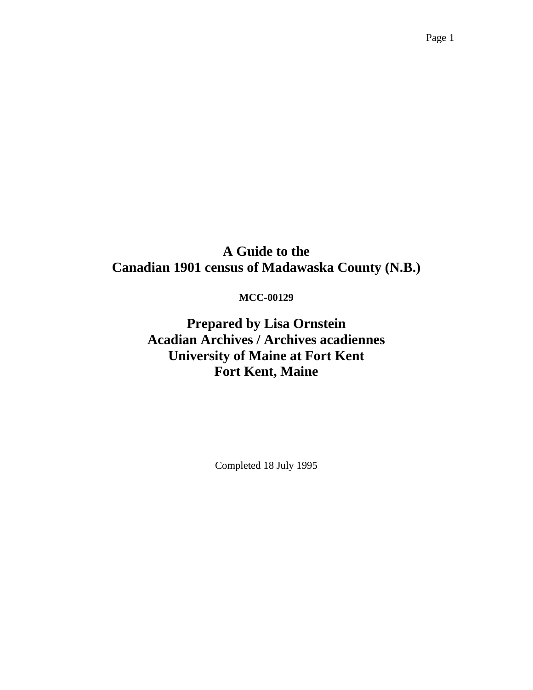# **A Guide to the Canadian 1901 census of Madawaska County (N.B.)**

### **MCC-00129**

**Prepared by Lisa Ornstein Acadian Archives / Archives acadiennes University of Maine at Fort Kent Fort Kent, Maine** 

Completed 18 July 1995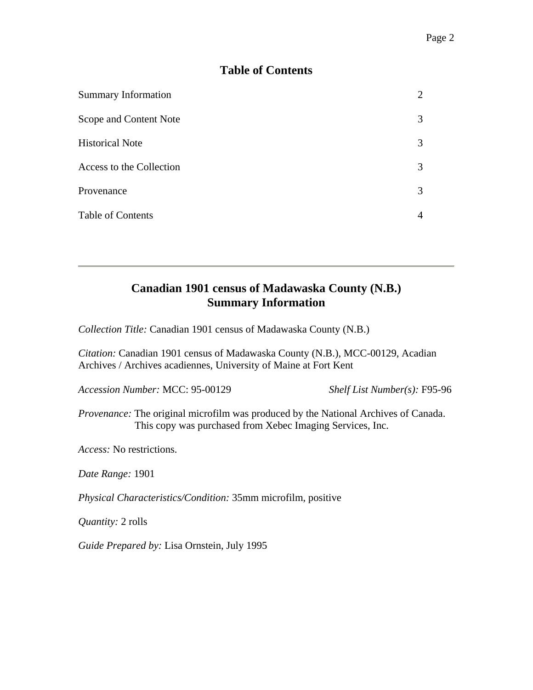## **Table of Contents**

| <b>Summary Information</b> |   |
|----------------------------|---|
| Scope and Content Note     | 3 |
| <b>Historical Note</b>     | 3 |
| Access to the Collection   | 3 |
| Provenance                 | 3 |
| <b>Table of Contents</b>   |   |

# **Canadian 1901 census of Madawaska County (N.B.) Summary Information**

*Collection Title:* Canadian 1901 census of Madawaska County (N.B.)

*Citation:* Canadian 1901 census of Madawaska County (N.B.), MCC-00129, Acadian Archives / Archives acadiennes, University of Maine at Fort Kent

*Accession Number:* MCC: 95-00129 *Shelf List Number(s):* F95-96

*Provenance:* The original microfilm was produced by the National Archives of Canada. This copy was purchased from Xebec Imaging Services, Inc.

*Access:* No restrictions.

*Date Range:* 1901

*Physical Characteristics/Condition:* 35mm microfilm, positive

*Quantity:* 2 rolls

*Guide Prepared by:* Lisa Ornstein, July 1995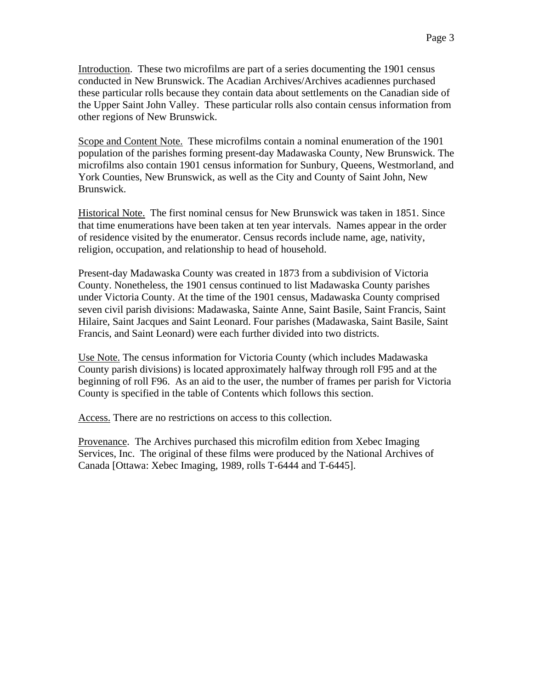Introduction. These two microfilms are part of a series documenting the 1901 census conducted in New Brunswick. The Acadian Archives/Archives acadiennes purchased these particular rolls because they contain data about settlements on the Canadian side of the Upper Saint John Valley. These particular rolls also contain census information from other regions of New Brunswick.

Scope and Content Note. These microfilms contain a nominal enumeration of the 1901 population of the parishes forming present-day Madawaska County, New Brunswick. The microfilms also contain 1901 census information for Sunbury, Queens, Westmorland, and York Counties, New Brunswick, as well as the City and County of Saint John, New Brunswick.

Historical Note. The first nominal census for New Brunswick was taken in 1851. Since that time enumerations have been taken at ten year intervals. Names appear in the order of residence visited by the enumerator. Census records include name, age, nativity, religion, occupation, and relationship to head of household.

Present-day Madawaska County was created in 1873 from a subdivision of Victoria County. Nonetheless, the 1901 census continued to list Madawaska County parishes under Victoria County. At the time of the 1901 census, Madawaska County comprised seven civil parish divisions: Madawaska, Sainte Anne, Saint Basile, Saint Francis, Saint Hilaire, Saint Jacques and Saint Leonard. Four parishes (Madawaska, Saint Basile, Saint Francis, and Saint Leonard) were each further divided into two districts.

Use Note. The census information for Victoria County (which includes Madawaska County parish divisions) is located approximately halfway through roll F95 and at the beginning of roll F96. As an aid to the user, the number of frames per parish for Victoria County is specified in the table of Contents which follows this section.

Access. There are no restrictions on access to this collection.

Provenance. The Archives purchased this microfilm edition from Xebec Imaging Services, Inc. The original of these films were produced by the National Archives of Canada [Ottawa: Xebec Imaging, 1989, rolls T-6444 and T-6445].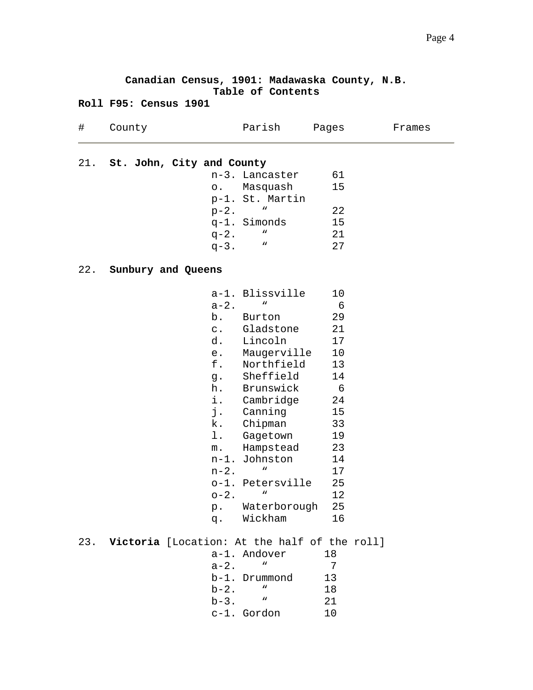|     | Canadian Census, 1901: Madawaska County, N.B. |           |                           |       |        |
|-----|-----------------------------------------------|-----------|---------------------------|-------|--------|
|     | Roll F95: Census 1901                         |           | Table of Contents         |       |        |
| #   | County                                        |           | Parish                    | Pages | Frames |
|     | 21. St. John, City and County                 |           |                           |       |        |
|     |                                               |           | n-3. Lancaster            | 61    |        |
|     |                                               |           | o. Masquash               | 15    |        |
|     |                                               |           | p-1. St. Martin           |       |        |
|     |                                               |           | $\boldsymbol{n}$          | 22    |        |
|     |                                               | $p-2$ .   |                           | 15    |        |
|     |                                               |           | q-1. Simonds<br>W         |       |        |
|     |                                               | $q-2$ .   |                           | 21    |        |
|     |                                               | $q-3$ .   | W                         | 27    |        |
|     | 22. Sunbury and Queens                        |           |                           |       |        |
|     |                                               |           |                           |       |        |
|     |                                               |           | a-1. Blissville<br>W      | 10    |        |
|     |                                               | $a-2.$    |                           | - 6   |        |
|     |                                               |           | b. Burton                 | 29    |        |
|     |                                               |           | c. Gladstone              | 21    |        |
|     |                                               |           | d. Lincoln                | 17    |        |
|     |                                               |           | e. Maugerville            | 10    |        |
|     |                                               |           | f. Northfield             | 13    |        |
|     |                                               |           | g. Sheffield              | 14    |        |
|     |                                               |           | h. Brunswick              | - 6   |        |
|     |                                               |           | i. Cambridge              | 24    |        |
|     |                                               | j.        | Canning                   | 15    |        |
|     |                                               |           | k. Chipman                | 33    |        |
|     |                                               | l.        | Gagetown                  | 19    |        |
|     |                                               | m.        | Hampstead                 | 23    |        |
|     |                                               |           | n-1. Johnston             | 14    |        |
|     |                                               | $n-2$ .   | $\boldsymbol{u}$          | 17    |        |
|     |                                               |           | o-1. Petersville          | 25    |        |
|     |                                               | $o-2$ .   | W                         | 12    |        |
|     |                                               |           | p. Waterborough           | 25    |        |
|     |                                               | q.        | Wickham                   | 16    |        |
| 23. | Victoria [Location: At the half of the roll]  |           |                           |       |        |
|     |                                               |           | a-1. Andover              | 18    |        |
|     |                                               | $a - 2$ . | w                         | 7     |        |
|     |                                               |           | b-1. Drummond             | 13    |        |
|     |                                               | $b-2$ .   | $\boldsymbol{n}$          | 18    |        |
|     |                                               | $b-3$ .   | $\boldsymbol{\mathsf{M}}$ | 21    |        |
|     |                                               |           | c-1. Gordon               | 10    |        |
|     |                                               |           |                           |       |        |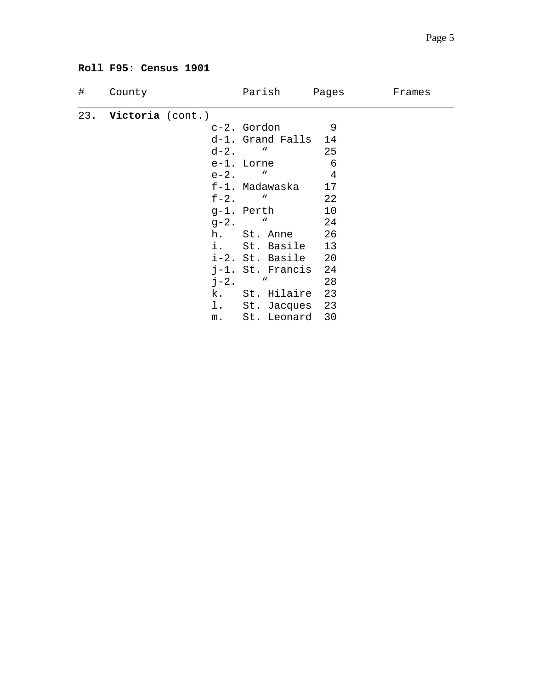#### **Roll F95: Census 1901**

| # | County               |         | Parish Pages        |                 | Frames |
|---|----------------------|---------|---------------------|-----------------|--------|
|   | 23. Victoria (cont.) |         |                     |                 |        |
|   |                      |         | c-2. Gordon         | 9               |        |
|   |                      |         | d-1. Grand Falls 14 |                 |        |
|   |                      |         | $d-2.$ "            | 25              |        |
|   |                      |         | e-1. Lorne          | $6\overline{6}$ |        |
|   |                      |         | $e-2.$ "            | $\overline{4}$  |        |
|   |                      |         | f-1. Madawaska 17   |                 |        |
|   |                      |         | $f-2$ . "           | $\overline{22}$ |        |
|   |                      |         | g-1. Perth          | 10              |        |
|   |                      |         | $g - 2.$ "          | 24              |        |
|   |                      |         | h. St. Anne 26      |                 |        |
|   |                      |         | i. St. Basile 13    |                 |        |
|   |                      |         | i-2. St. Basile 20  |                 |        |
|   |                      |         | j-1. St. Francis 24 |                 |        |
|   |                      | $j-2$ . | $\mathbf{u}$        | 28              |        |
|   |                      |         | k. St. Hilaire 23   |                 |        |
|   |                      |         | 1. St. Jacques 23   |                 |        |
|   |                      |         | m. St. Leonard 30   |                 |        |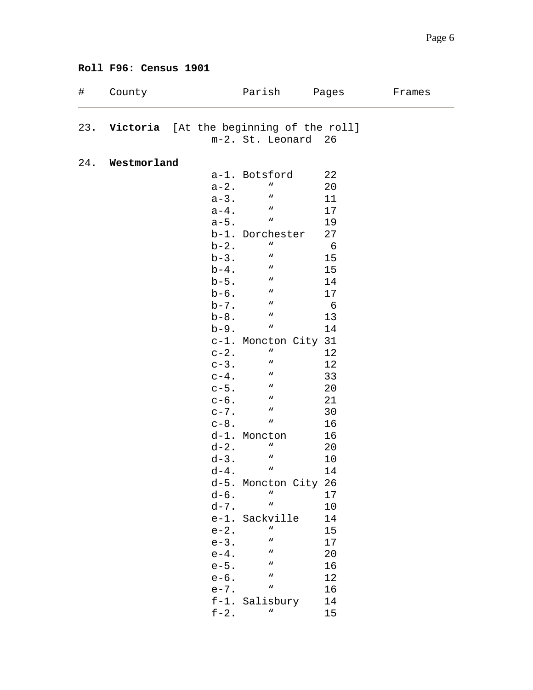#### **Roll F96: Census 1901**

| $\#$ | County      |                   | Parish                                      | Pages           | Frames |
|------|-------------|-------------------|---------------------------------------------|-----------------|--------|
|      |             |                   | 23. Victoria [At the beginning of the roll] |                 |        |
|      |             |                   | m-2. St. Leonard 26                         |                 |        |
|      |             |                   |                                             |                 |        |
| 24.  | Westmorland |                   | a-1. Botsford                               | 22              |        |
|      |             | $a-2.$            | W                                           | 20              |        |
|      |             | $a-3.$            | W                                           | 11              |        |
|      |             | $a-4$ .           | W                                           | 17              |        |
|      |             | $a - 5$ .         | W                                           | 19              |        |
|      |             |                   | b-1. Dorchester                             | 27              |        |
|      |             | $b-2$ .           | W                                           | $6\overline{6}$ |        |
|      |             | $b-3$ .           | $\boldsymbol{n}$                            | 15              |        |
|      |             | $b-4$ .           | $\boldsymbol{M}$                            | 15              |        |
|      |             | $b-5$ .           | $\boldsymbol{u}$                            | 14              |        |
|      |             | $b-6$ .           | $\boldsymbol{\mathsf{u}}$                   | 17              |        |
|      |             | $b-7$ .           | W                                           | - 6             |        |
|      |             | $b-8$ .           | W                                           | 13              |        |
|      |             | $b-9$ .           | W                                           | 14              |        |
|      |             |                   | c-1. Moncton City 31                        |                 |        |
|      |             | $c-2$ .           | W                                           | 12              |        |
|      |             | $c-3$ .           | W                                           | 12              |        |
|      |             | $c-4$ .           | W                                           | 33              |        |
|      |             | $c-5$ .           | W                                           | 20              |        |
|      |             | $c-6$ .           | W                                           | 21              |        |
|      |             | $c-7$ .           | W                                           | 30              |        |
|      |             | $c-8$ .           | W                                           | 16              |        |
|      |             |                   | d-1. Moncton                                | 16              |        |
|      |             | $d-2$ .           | W                                           | 20              |        |
|      |             | $d - 3$ .         | W                                           | 10              |        |
|      |             | d-4.              | w                                           | 14              |        |
|      |             |                   | d-5. Moncton City 26                        |                 |        |
|      |             | $d-6$ .           | W                                           | 17              |        |
|      |             | $d - 7$ .         | W                                           | 10              |        |
|      |             |                   | e-1. Sackville<br>W                         | 14              |        |
|      |             | $e-2$ .           | W                                           | 15              |        |
|      |             | $e-3$ .           | W                                           | 17              |        |
|      |             | $e-4$ .           | W                                           | 20              |        |
|      |             | $e-5.$<br>$e-6$ . | W                                           | 16<br>12        |        |
|      |             | $e - 7$ .         | W                                           | 16              |        |
|      |             |                   | f-1. Salisbury                              | 14              |        |
|      |             | $f-2$ .           | w                                           | 15              |        |
|      |             |                   |                                             |                 |        |